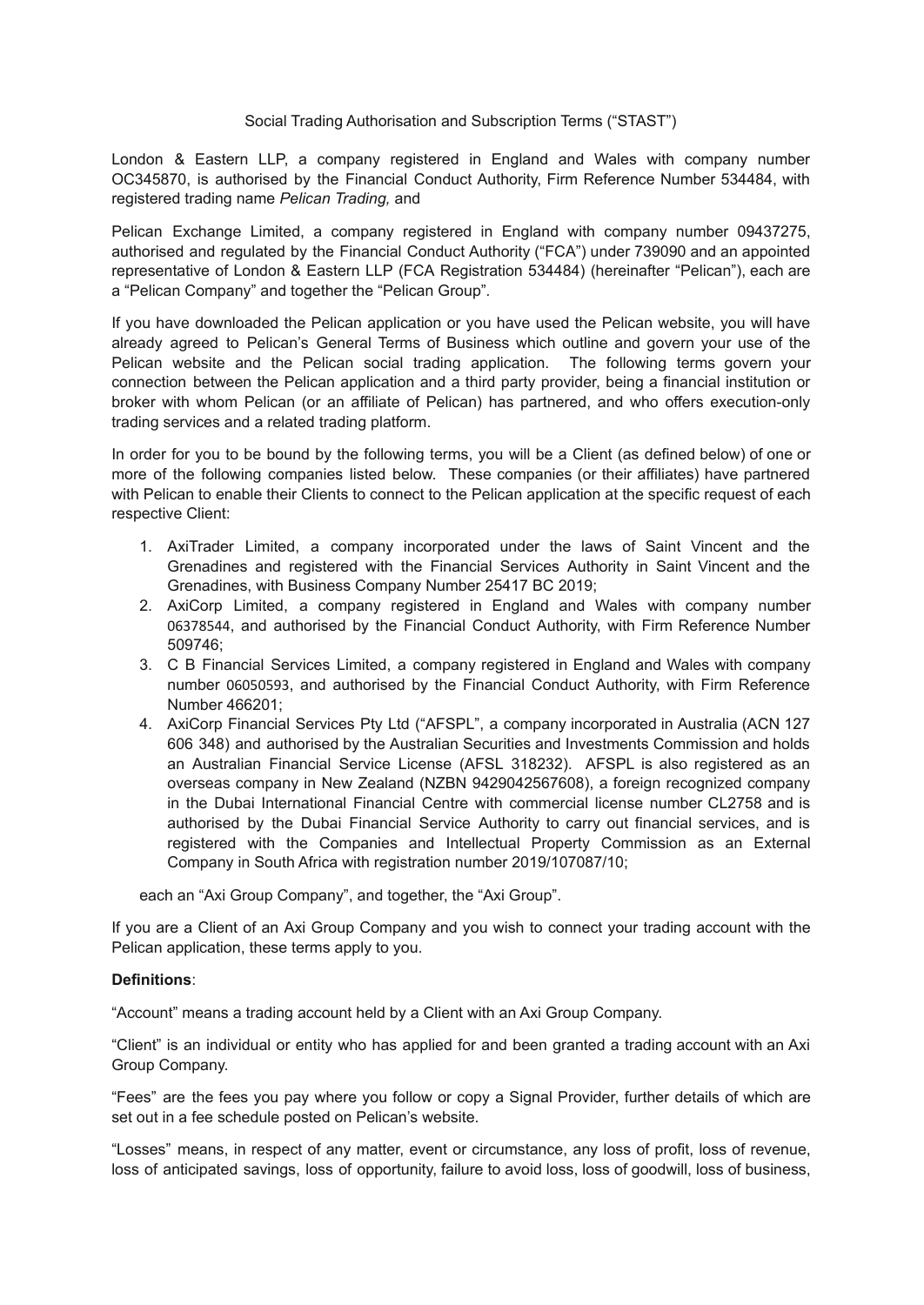## Social Trading Authorisation and Subscription Terms ("STAST")

London & Eastern LLP, a company registered in England and Wales with company number OC345870, is authorised by the Financial Conduct Authority, Firm Reference Number 534484, with registered trading name *Pelican Trading,* and

Pelican Exchange Limited, a company registered in England with company number 09437275, authorised and regulated by the Financial Conduct Authority ("FCA") under 739090 and an appointed representative of London & Eastern LLP (FCA Registration 534484) (hereinafter "Pelican"), each are a "Pelican Company" and together the "Pelican Group"*.*

If you have downloaded the Pelican application or you have used the Pelican website, you will have already agreed to Pelican's General Terms of Business which outline and govern your use of the Pelican website and the Pelican social trading application. The following terms govern your connection between the Pelican application and a third party provider, being a financial institution or broker with whom Pelican (or an affiliate of Pelican) has partnered, and who offers execution-only trading services and a related trading platform.

In order for you to be bound by the following terms, you will be a Client (as defined below) of one or more of the following companies listed below. These companies (or their affiliates) have partnered with Pelican to enable their Clients to connect to the Pelican application at the specific request of each respective Client:

- 1. AxiTrader Limited, a company incorporated under the laws of Saint Vincent and the Grenadines and registered with the Financial Services Authority in Saint Vincent and the Grenadines, with Business Company Number 25417 BC 2019;
- 2. AxiCorp Limited, a company registered in England and Wales with company number 06378544, and authorised by the Financial Conduct Authority, with Firm Reference Number 509746;
- 3. C B Financial Services Limited, a company registered in England and Wales with company number 06050593, and authorised by the Financial Conduct Authority, with Firm Reference Number 466201;
- 4. AxiCorp Financial Services Pty Ltd ("AFSPL", a company incorporated in Australia (ACN 127 606 348) and authorised by the Australian Securities and Investments Commission and holds an Australian Financial Service License (AFSL 318232). AFSPL is also registered as an overseas company in New Zealand (NZBN 9429042567608), a foreign recognized company in the Dubai International Financial Centre with commercial license number CL2758 and is authorised by the Dubai Financial Service Authority to carry out financial services, and is registered with the Companies and Intellectual Property Commission as an External Company in South Africa with registration number 2019/107087/10;

each an "Axi Group Company", and together, the "Axi Group".

If you are a Client of an Axi Group Company and you wish to connect your trading account with the Pelican application, these terms apply to you.

## **Definitions**:

"Account" means a trading account held by a Client with an Axi Group Company.

"Client" is an individual or entity who has applied for and been granted a trading account with an Axi Group Company.

"Fees" are the fees you pay where you follow or copy a Signal Provider, further details of which are set out in a fee schedule posted on Pelican's website.

"Losses" means, in respect of any matter, event or circumstance, any loss of profit, loss of revenue, loss of anticipated savings, loss of opportunity, failure to avoid loss, loss of goodwill, loss of business,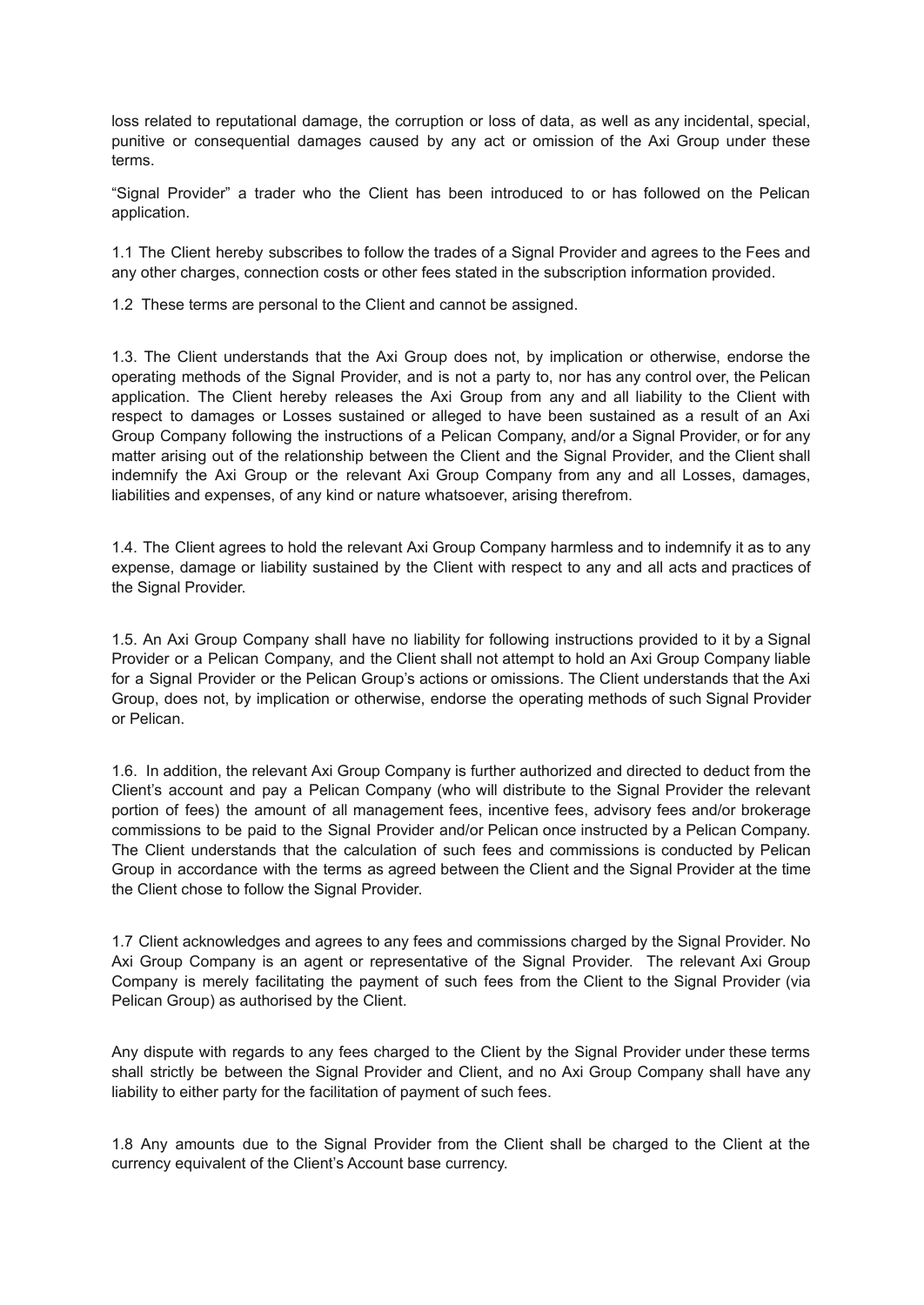loss related to reputational damage, the corruption or loss of data, as well as any incidental, special, punitive or consequential damages caused by any act or omission of the Axi Group under these terms.

"Signal Provider" a trader who the Client has been introduced to or has followed on the Pelican application.

1.1 The Client hereby subscribes to follow the trades of a Signal Provider and agrees to the Fees and any other charges, connection costs or other fees stated in the subscription information provided.

1.2 These terms are personal to the Client and cannot be assigned.

1.3. The Client understands that the Axi Group does not, by implication or otherwise, endorse the operating methods of the Signal Provider, and is not a party to, nor has any control over, the Pelican application. The Client hereby releases the Axi Group from any and all liability to the Client with respect to damages or Losses sustained or alleged to have been sustained as a result of an Axi Group Company following the instructions of a Pelican Company, and/or a Signal Provider, or for any matter arising out of the relationship between the Client and the Signal Provider, and the Client shall indemnify the Axi Group or the relevant Axi Group Company from any and all Losses, damages, liabilities and expenses, of any kind or nature whatsoever, arising therefrom.

1.4. The Client agrees to hold the relevant Axi Group Company harmless and to indemnify it as to any expense, damage or liability sustained by the Client with respect to any and all acts and practices of the Signal Provider.

1.5. An Axi Group Company shall have no liability for following instructions provided to it by a Signal Provider or a Pelican Company, and the Client shall not attempt to hold an Axi Group Company liable for a Signal Provider or the Pelican Group's actions or omissions. The Client understands that the Axi Group, does not, by implication or otherwise, endorse the operating methods of such Signal Provider or Pelican.

1.6. In addition, the relevant Axi Group Company is further authorized and directed to deduct from the Client's account and pay a Pelican Company (who will distribute to the Signal Provider the relevant portion of fees) the amount of all management fees, incentive fees, advisory fees and/or brokerage commissions to be paid to the Signal Provider and/or Pelican once instructed by a Pelican Company. The Client understands that the calculation of such fees and commissions is conducted by Pelican Group in accordance with the terms as agreed between the Client and the Signal Provider at the time the Client chose to follow the Signal Provider.

1.7 Client acknowledges and agrees to any fees and commissions charged by the Signal Provider. No Axi Group Company is an agent or representative of the Signal Provider. The relevant Axi Group Company is merely facilitating the payment of such fees from the Client to the Signal Provider (via Pelican Group) as authorised by the Client.

Any dispute with regards to any fees charged to the Client by the Signal Provider under these terms shall strictly be between the Signal Provider and Client, and no Axi Group Company shall have any liability to either party for the facilitation of payment of such fees.

1.8 Any amounts due to the Signal Provider from the Client shall be charged to the Client at the currency equivalent of the Client's Account base currency.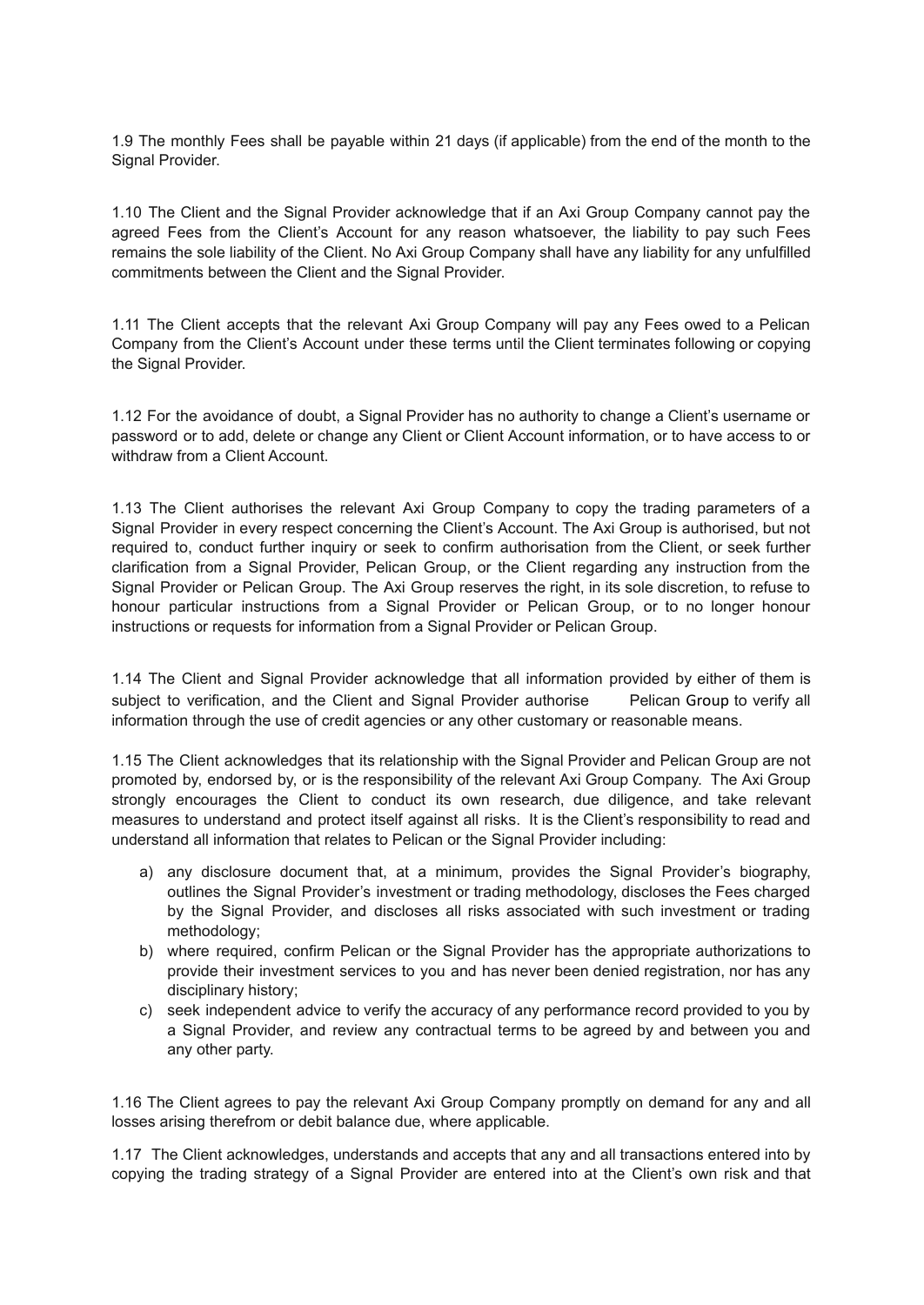1.9 The monthly Fees shall be payable within 21 days (if applicable) from the end of the month to the Signal Provider.

1.10 The Client and the Signal Provider acknowledge that if an Axi Group Company cannot pay the agreed Fees from the Client's Account for any reason whatsoever, the liability to pay such Fees remains the sole liability of the Client. No Axi Group Company shall have any liability for any unfulfilled commitments between the Client and the Signal Provider.

1.11 The Client accepts that the relevant Axi Group Company will pay any Fees owed to a Pelican Company from the Client's Account under these terms until the Client terminates following or copying the Signal Provider.

1.12 For the avoidance of doubt, a Signal Provider has no authority to change a Client's username or password or to add, delete or change any Client or Client Account information, or to have access to or withdraw from a Client Account.

1.13 The Client authorises the relevant Axi Group Company to copy the trading parameters of a Signal Provider in every respect concerning the Client's Account. The Axi Group is authorised, but not required to, conduct further inquiry or seek to confirm authorisation from the Client, or seek further clarification from a Signal Provider, Pelican Group, or the Client regarding any instruction from the Signal Provider or Pelican Group. The Axi Group reserves the right, in its sole discretion, to refuse to honour particular instructions from a Signal Provider or Pelican Group, or to no longer honour instructions or requests for information from a Signal Provider or Pelican Group.

1.14 The Client and Signal Provider acknowledge that all information provided by either of them is subject to verification, and the Client and Signal Provider authorise Pelican Group to verify all information through the use of credit agencies or any other customary or reasonable means.

1.15 The Client acknowledges that its relationship with the Signal Provider and Pelican Group are not promoted by, endorsed by, or is the responsibility of the relevant Axi Group Company. The Axi Group strongly encourages the Client to conduct its own research, due diligence, and take relevant measures to understand and protect itself against all risks. It is the Client's responsibility to read and understand all information that relates to Pelican or the Signal Provider including:

- a) any disclosure document that, at a minimum, provides the Signal Provider's biography, outlines the Signal Provider's investment or trading methodology, discloses the Fees charged by the Signal Provider, and discloses all risks associated with such investment or trading methodology;
- b) where required, confirm Pelican or the Signal Provider has the appropriate authorizations to provide their investment services to you and has never been denied registration, nor has any disciplinary history;
- c) seek independent advice to verify the accuracy of any performance record provided to you by a Signal Provider, and review any contractual terms to be agreed by and between you and any other party.

1.16 The Client agrees to pay the relevant Axi Group Company promptly on demand for any and all losses arising therefrom or debit balance due, where applicable.

1.17 The Client acknowledges, understands and accepts that any and all transactions entered into by copying the trading strategy of a Signal Provider are entered into at the Client's own risk and that